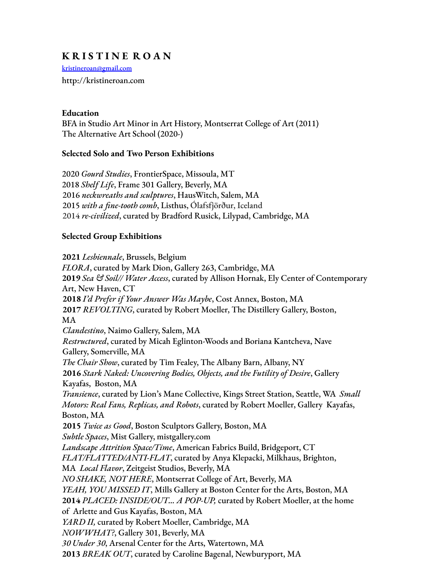# **K R I S T I N E R O A N**

kristineroan@gmail.com http://kristineroan.com

### **Education**

BFA in Studio Art Minor in Art History, Montserrat College of Art (2011) The Alternative Art School (2020-)

### **Selected Solo and Two Person Exhibitions**

 *Gourd Studies*, FrontierSpace, Missoula, MT *Shelf Life*, Frame 301 Gallery, Beverly, MA *neckwreaths and sculptures*, HausWitch, Salem, MA *with a fine-tooth comb*, Listhus, Ólafsfjörður, Iceland *re-civilized*, curated by Bradford Rusick, Lilypad, Cambridge, MA

## **Selected Group Exhibitions**

**2021** *Lesbiennale*, Brussels, Belgium *FLORA*, curated by Mark Dion, Gallery 263, Cambridge, MA **2019** *Sea & Soil// Water Access*, curated by Allison Hornak, Ely Center of Contemporary Art, New Haven, CT **2018** *I'd Prefer if Your Answer Was Maybe*, Cost Annex, Boston, MA **2017** *REVOLTING*, curated by Robert Moeller, The Distillery Gallery, Boston, MA *Clandestino*, Naimo Gallery, Salem, MA *Restructured*, curated by Micah Eglinton-Woods and Boriana Kantcheva, Nave Gallery, Somerville, MA *The Chair Show*, curated by Tim Fealey, The Albany Barn, Albany, NY **2016** *Stark Naked: Uncovering Bodies, Objects, and the Futility of Desire*, Gallery Kayafas, Boston, MA *Transience*, curated by Lion's Mane Collective, Kings Street Station, Seattle, WA *Small Motors: Real Fans, Replicas, and Robots*, curated by Robert Moeller, Gallery Kayafas, Boston, MA **2015** *Twice as Good*, Boston Sculptors Gallery, Boston, MA *Subtle Spaces*, Mist Gallery, mistgallery.com *Landscape Attrition Space/Time*, American Fabrics Build, Bridgeport, CT *FLAT/FLATTED/ANTI-FLAT*, curated by Anya Klepacki, Milkhaus, Brighton, MA *Local Flavor*, Zeitgeist Studios, Beverly, MA *NO SHAKE, NOT HERE*, Montserrat College of Art, Beverly, MA *YEAH, YOU MISSED IT*, Mills Gallery at Boston Center for the Arts, Boston, MA **2014** *PLACED: INSIDE/OUT… A POP-UP,* curated by Robert Moeller, at the home of Arlette and Gus Kayafas, Boston, MA *YARD II,* curated by Robert Moeller, Cambridge, MA *NOWWHAT?*, Gallery 301, Beverly, MA *30 Under 30*, Arsenal Center for the Arts, Watertown, MA **2013** *BREAK OUT*, curated by Caroline Bagenal, Newburyport, MA